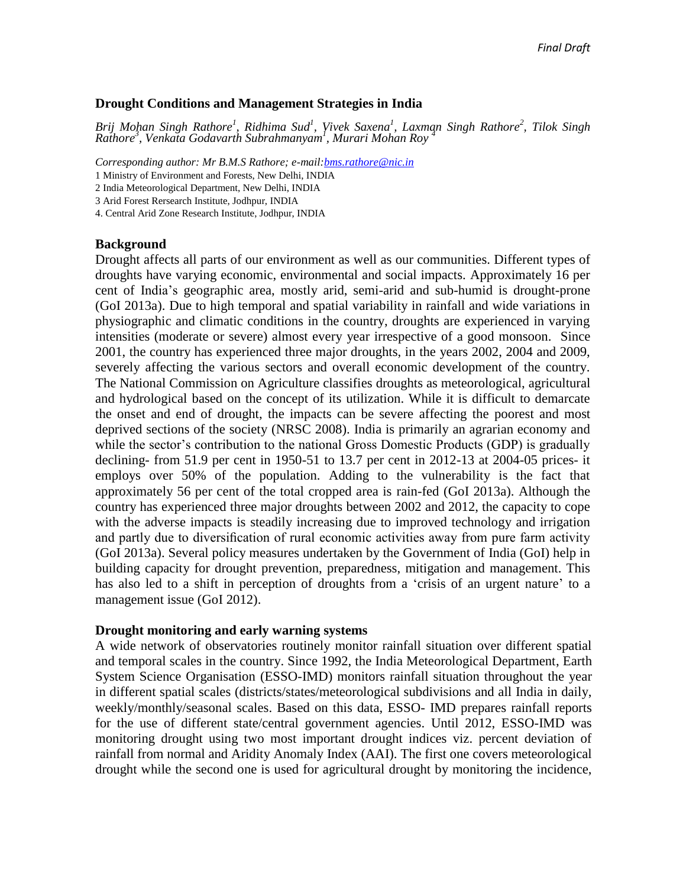### **Drought Conditions and Management Strategies in India**

*Brij Mohan Singh Rathore<sup>1</sup> , Ridhima Sud<sup>1</sup> , Vivek Saxena<sup>1</sup> , Laxman Singh Rathore<sup>2</sup> , Tilok Singh Rathore<sup>3</sup> , Venkata Godavarth Subrahmanyam<sup>1</sup> , Murari Mohan Roy <sup>4</sup>*

*Corresponding author: Mr B.M.S Rathore; e-mail[:bms.rathore@nic.in](mailto:bms.rathore@nic.in)*

1 Ministry of Environment and Forests, New Delhi, INDIA

2 India Meteorological Department, New Delhi, INDIA

3 Arid Forest Rersearch Institute, Jodhpur, INDIA

4. Central Arid Zone Research Institute, Jodhpur, INDIA

### **Background**

Drought affects all parts of our environment as well as our communities. Different types of droughts have varying economic, environmental and social impacts. Approximately 16 per cent of India's geographic area, mostly arid, semi-arid and sub-humid is drought-prone (GoI 2013a). Due to high temporal and spatial variability in rainfall and wide variations in physiographic and climatic conditions in the country, droughts are experienced in varying intensities (moderate or severe) almost every year irrespective of a good monsoon. Since 2001, the country has experienced three major droughts, in the years 2002, 2004 and 2009, severely affecting the various sectors and overall economic development of the country. The National Commission on Agriculture classifies droughts as meteorological, agricultural and hydrological based on the concept of its utilization. While it is difficult to demarcate the onset and end of drought, the impacts can be severe affecting the poorest and most deprived sections of the society (NRSC 2008). India is primarily an agrarian economy and while the sector's contribution to the national Gross Domestic Products (GDP) is gradually declining- from 51.9 per cent in 1950-51 to 13.7 per cent in 2012-13 at 2004-05 prices- it employs over 50% of the population. Adding to the vulnerability is the fact that approximately 56 per cent of the total cropped area is rain-fed (GoI 2013a). Although the country has experienced three major droughts between 2002 and 2012, the capacity to cope with the adverse impacts is steadily increasing due to improved technology and irrigation and partly due to diversification of rural economic activities away from pure farm activity (GoI 2013a). Several policy measures undertaken by the Government of India (GoI) help in building capacity for drought prevention, preparedness, mitigation and management. This has also led to a shift in perception of droughts from a 'crisis of an urgent nature' to a management issue (GoI 2012).

### **Drought monitoring and early warning systems**

A wide network of observatories routinely monitor rainfall situation over different spatial and temporal scales in the country. Since 1992, the India Meteorological Department, Earth System Science Organisation (ESSO-IMD) monitors rainfall situation throughout the year in different spatial scales (districts/states/meteorological subdivisions and all India in daily, weekly/monthly/seasonal scales. Based on this data, ESSO- IMD prepares rainfall reports for the use of different state/central government agencies. Until 2012, ESSO-IMD was monitoring drought using two most important drought indices viz. percent deviation of rainfall from normal and Aridity Anomaly Index (AAI). The first one covers meteorological drought while the second one is used for agricultural drought by monitoring the incidence,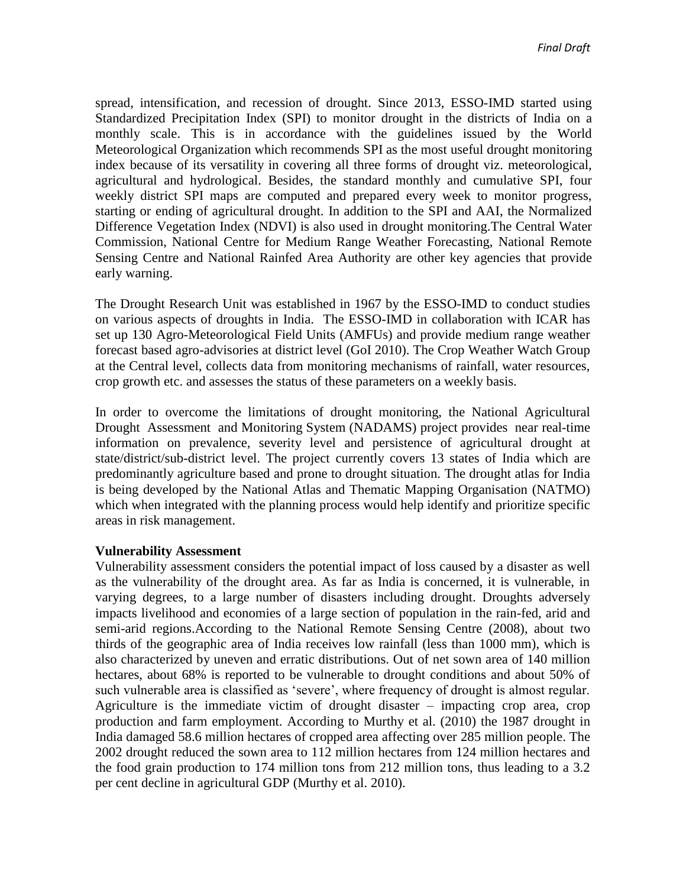spread, intensification, and recession of drought. Since 2013, ESSO-IMD started using Standardized Precipitation Index (SPI) to monitor drought in the districts of India on a monthly scale. This is in accordance with the guidelines issued by the World Meteorological Organization which recommends SPI as the most useful drought monitoring index because of its versatility in covering all three forms of drought viz. meteorological, agricultural and hydrological. Besides, the standard monthly and cumulative SPI, four weekly district SPI maps are computed and prepared every week to monitor progress, starting or ending of agricultural drought. In addition to the SPI and AAI, the Normalized Difference Vegetation Index (NDVI) is also used in drought monitoring.The Central Water Commission, National Centre for Medium Range Weather Forecasting, National Remote Sensing Centre and National Rainfed Area Authority are other key agencies that provide early warning.

The Drought Research Unit was established in 1967 by the ESSO-IMD to conduct studies on various aspects of droughts in India. The ESSO-IMD in collaboration with ICAR has set up 130 Agro-Meteorological Field Units (AMFUs) and provide medium range weather forecast based agro-advisories at district level (GoI 2010). The Crop Weather Watch Group at the Central level, collects data from monitoring mechanisms of rainfall, water resources, crop growth etc. and assesses the status of these parameters on a weekly basis.

In order to overcome the limitations of drought monitoring, the National Agricultural Drought Assessment and Monitoring System (NADAMS) project provides near real-time information on prevalence, severity level and persistence of agricultural drought at state/district/sub-district level. The project currently covers 13 states of India which are predominantly agriculture based and prone to drought situation. The drought atlas for India is being developed by the National Atlas and Thematic Mapping Organisation (NATMO) which when integrated with the planning process would help identify and prioritize specific areas in risk management.

### **Vulnerability Assessment**

Vulnerability assessment considers the potential impact of loss caused by a disaster as well as the vulnerability of the drought area. As far as India is concerned, it is vulnerable, in varying degrees, to a large number of disasters including drought. Droughts adversely impacts livelihood and economies of a large section of population in the rain-fed, arid and semi-arid regions.According to the National Remote Sensing Centre (2008), about two thirds of the geographic area of India receives low rainfall (less than 1000 mm), which is also characterized by uneven and erratic distributions. Out of net sown area of 140 million hectares, about 68% is reported to be vulnerable to drought conditions and about 50% of such vulnerable area is classified as 'severe', where frequency of drought is almost regular. Agriculture is the immediate victim of drought disaster – impacting crop area, crop production and farm employment. According to Murthy et al. (2010) the 1987 drought in India damaged 58.6 million hectares of cropped area affecting over 285 million people. The 2002 drought reduced the sown area to 112 million hectares from 124 million hectares and the food grain production to 174 million tons from 212 million tons, thus leading to a 3.2 per cent decline in agricultural GDP (Murthy et al. 2010).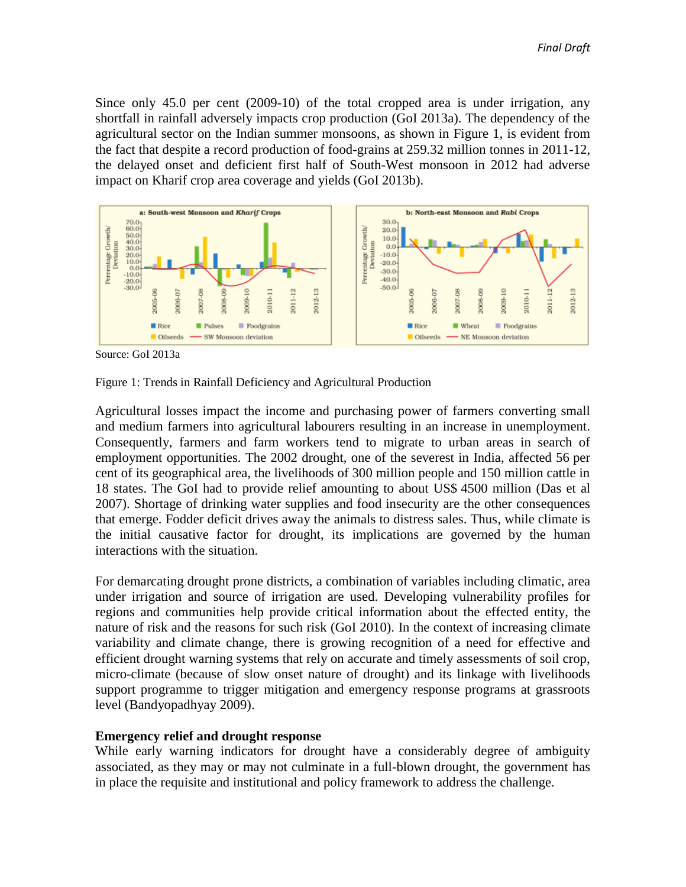Since only 45.0 per cent (2009-10) of the total cropped area is under irrigation, any shortfall in rainfall adversely impacts crop production (GoI 2013a). The dependency of the agricultural sector on the Indian summer monsoons, as shown in Figure 1, is evident from the fact that despite a record production of food-grains at 259.32 million tonnes in 2011-12, the delayed onset and deficient first half of South-West monsoon in 2012 had adverse impact on Kharif crop area coverage and yields (GoI 2013b).



Source: GoI 2013a

### Figure 1: Trends in Rainfall Deficiency and Agricultural Production

Agricultural losses impact the income and purchasing power of farmers converting small and medium farmers into agricultural labourers resulting in an increase in unemployment. Consequently, farmers and farm workers tend to migrate to urban areas in search of employment opportunities. The 2002 drought, one of the severest in India, affected 56 per cent of its geographical area, the livelihoods of 300 million people and 150 million cattle in 18 states. The GoI had to provide relief amounting to about US\$ 4500 million (Das et al 2007). Shortage of drinking water supplies and food insecurity are the other consequences that emerge. Fodder deficit drives away the animals to distress sales. Thus, while climate is the initial causative factor for drought, its implications are governed by the human interactions with the situation.

For demarcating drought prone districts, a combination of variables including climatic, area under irrigation and source of irrigation are used. Developing vulnerability profiles for regions and communities help provide critical information about the effected entity, the nature of risk and the reasons for such risk (GoI 2010). In the context of increasing climate variability and climate change, there is growing recognition of a need for effective and efficient drought warning systems that rely on accurate and timely assessments of soil crop, micro-climate (because of slow onset nature of drought) and its linkage with livelihoods support programme to trigger mitigation and emergency response programs at grassroots level (Bandyopadhyay 2009).

### **Emergency relief and drought response**

While early warning indicators for drought have a considerably degree of ambiguity associated, as they may or may not culminate in a full-blown drought, the government has in place the requisite and institutional and policy framework to address the challenge.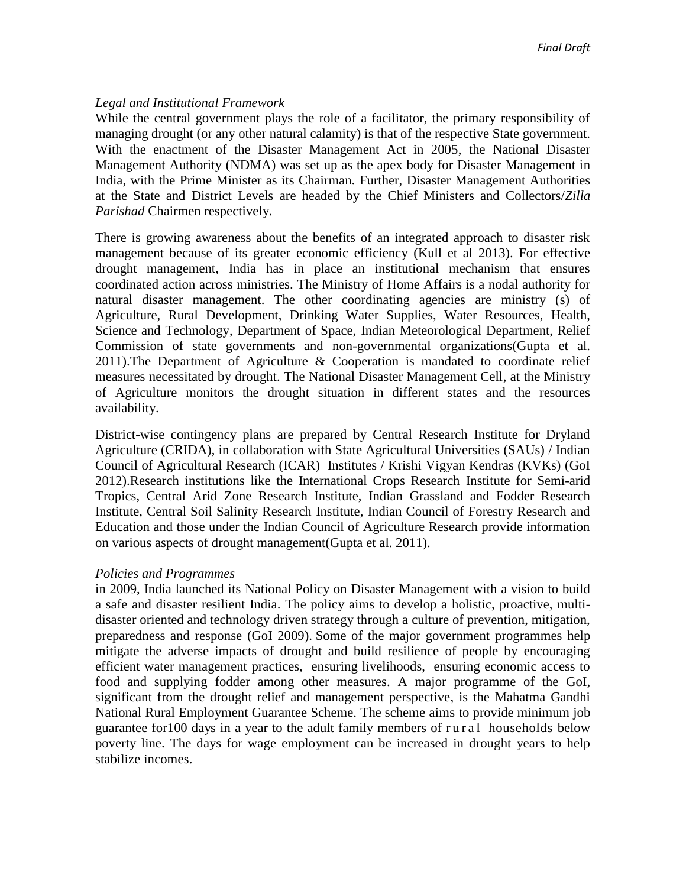# *Legal and Institutional Framework*

While the central government plays the role of a facilitator, the primary responsibility of managing drought (or any other natural calamity) is that of the respective State government. With the enactment of the Disaster Management Act in 2005, the National Disaster Management Authority (NDMA) was set up as the apex body for Disaster Management in India, with the Prime Minister as its Chairman. Further, Disaster Management Authorities at the State and District Levels are headed by the Chief Ministers and Collectors/*Zilla Parishad* Chairmen respectively.

There is growing awareness about the benefits of an integrated approach to disaster risk management because of its greater economic efficiency (Kull et al 2013). For effective drought management, India has in place an institutional mechanism that ensures coordinated action across ministries. The Ministry of Home Affairs is a nodal authority for natural disaster management. The other coordinating agencies are ministry (s) of Agriculture, Rural Development, Drinking Water Supplies, Water Resources, Health, Science and Technology, Department of Space, Indian Meteorological Department, Relief Commission of state governments and non-governmental organizations(Gupta et al. 2011).The Department of Agriculture & Cooperation is mandated to coordinate relief measures necessitated by drought. The National Disaster Management Cell, at the Ministry of Agriculture monitors the drought situation in different states and the resources availability.

District-wise contingency plans are prepared by Central Research Institute for Dryland Agriculture (CRIDA), in collaboration with State Agricultural Universities (SAUs) / Indian Council of Agricultural Research (ICAR) Institutes / Krishi Vigyan Kendras (KVKs) (GoI 2012).Research institutions like the International Crops Research Institute for Semi-arid Tropics, Central Arid Zone Research Institute, Indian Grassland and Fodder Research Institute, Central Soil Salinity Research Institute, Indian Council of Forestry Research and Education and those under the Indian Council of Agriculture Research provide information on various aspects of drought management(Gupta et al. 2011).

# *Policies and Programmes*

in 2009, India launched its National Policy on Disaster Management with a vision to build a safe and disaster resilient India. The policy aims to develop a holistic, proactive, multidisaster oriented and technology driven strategy through a culture of prevention, mitigation, preparedness and response (GoI 2009). Some of the major government programmes help mitigate the adverse impacts of drought and build resilience of people by encouraging efficient water management practices, ensuring livelihoods, ensuring economic access to food and supplying fodder among other measures. A major programme of the GoI, significant from the drought relief and management perspective, is the Mahatma Gandhi National Rural Employment Guarantee Scheme. The scheme aims to provide minimum job guarantee for 100 days in a year to the adult family members of rural households below poverty line. The days for wage employment can be increased in drought years to help stabilize incomes.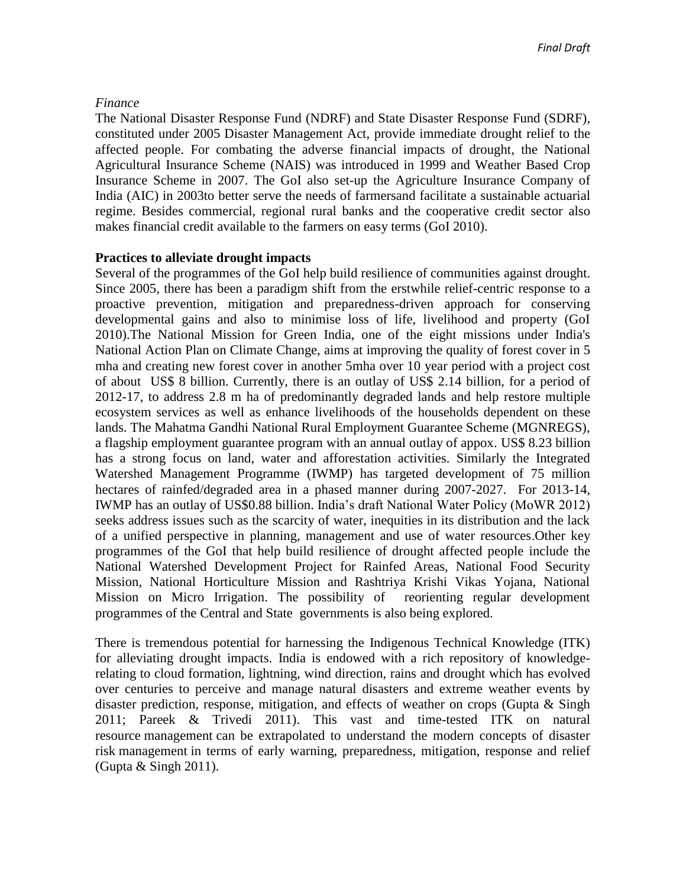# *Finance*

The National Disaster Response Fund (NDRF) and State Disaster Response Fund (SDRF), constituted under 2005 Disaster Management Act, provide immediate drought relief to the affected people. For combating the adverse financial impacts of drought, the National Agricultural Insurance Scheme (NAIS) was introduced in 1999 and Weather Based Crop Insurance Scheme in 2007. The GoI also set-up the Agriculture Insurance Company of India (AIC) in 2003to better serve the needs of farmersand facilitate a sustainable actuarial regime. Besides commercial, regional rural banks and the cooperative credit sector also makes financial credit available to the farmers on easy terms (GoI 2010).

# **Practices to alleviate drought impacts**

Several of the programmes of the GoI help build resilience of communities against drought. Since 2005, there has been a paradigm shift from the erstwhile relief-centric response to a proactive prevention, mitigation and preparedness-driven approach for conserving developmental gains and also to minimise loss of life, livelihood and property (GoI 2010).The National Mission for Green India, one of the eight missions under India's National Action Plan on Climate Change, aims at improving the quality of forest cover in 5 mha and creating new forest cover in another 5mha over 10 year period with a project cost of about US\$ 8 billion. Currently, there is an outlay of US\$ 2.14 billion, for a period of 2012-17, to address 2.8 m ha of predominantly degraded lands and help restore multiple ecosystem services as well as enhance livelihoods of the households dependent on these lands. The Mahatma Gandhi National Rural Employment Guarantee Scheme (MGNREGS), a flagship employment guarantee program with an annual outlay of appox. US\$ 8.23 billion has a strong focus on land, water and afforestation activities. Similarly the Integrated Watershed Management Programme (IWMP) has targeted development of 75 million hectares of rainfed/degraded area in a phased manner during 2007-2027. For 2013-14, IWMP has an outlay of US\$0.88 billion. India's draft National Water Policy (MoWR 2012) seeks address issues such as the scarcity of water, inequities in its distribution and the lack of a unified perspective in planning, management and use of water resources.Other key programmes of the GoI that help build resilience of drought affected people include the National Watershed Development Project for Rainfed Areas, National Food Security Mission, National Horticulture Mission and Rashtriya Krishi Vikas Yojana, National Mission on Micro Irrigation. The possibility of reorienting regular development programmes of the Central and State governments is also being explored.

There is tremendous potential for harnessing the Indigenous Technical Knowledge (ITK) for alleviating drought impacts. India is endowed with a rich repository of knowledgerelating to cloud formation, lightning, wind direction, rains and drought which has evolved over centuries to perceive and manage natural disasters and extreme weather events by disaster prediction, response, mitigation, and effects of weather on crops (Gupta & Singh 2011; Pareek & Trivedi 2011). This vast and time-tested ITK on natural resource management can be extrapolated to understand the modern concepts of disaster risk management in terms of early warning, preparedness, mitigation, response and relief (Gupta & Singh 2011).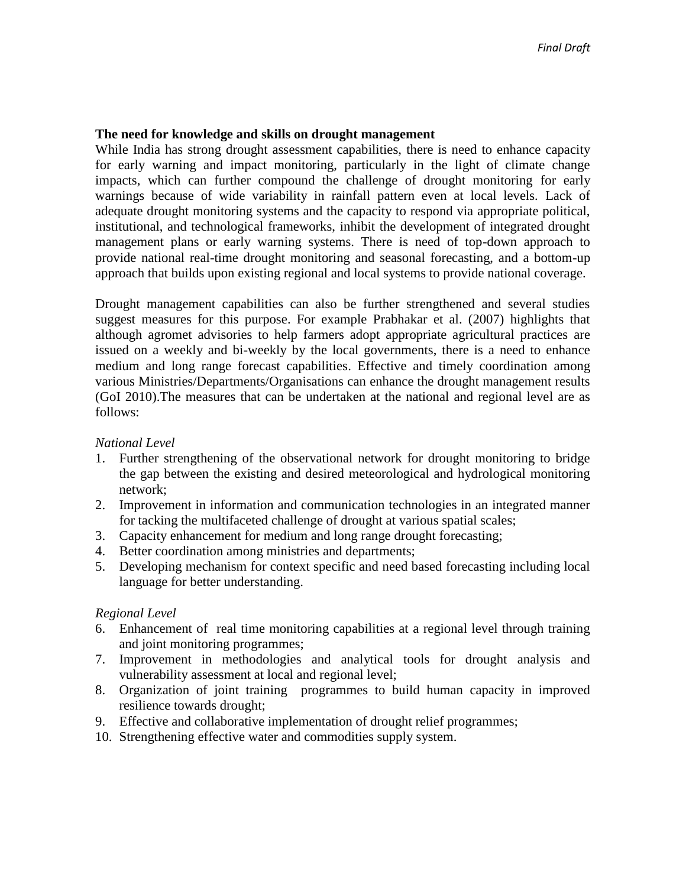# **The need for knowledge and skills on drought management**

While India has strong drought assessment capabilities, there is need to enhance capacity for early warning and impact monitoring, particularly in the light of climate change impacts, which can further compound the challenge of drought monitoring for early warnings because of wide variability in rainfall pattern even at local levels. Lack of adequate drought monitoring systems and the capacity to respond via appropriate political, institutional, and technological frameworks, inhibit the development of integrated drought management plans or early warning systems. There is need of top-down approach to provide national real-time drought monitoring and seasonal forecasting, and a bottom-up approach that builds upon existing regional and local systems to provide national coverage.

Drought management capabilities can also be further strengthened and several studies suggest measures for this purpose. For example Prabhakar et al. (2007) highlights that although agromet advisories to help farmers adopt appropriate agricultural practices are issued on a weekly and bi-weekly by the local governments, there is a need to enhance medium and long range forecast capabilities. Effective and timely coordination among various Ministries/Departments/Organisations can enhance the drought management results (GoI 2010).The measures that can be undertaken at the national and regional level are as follows:

# *National Level*

- 1. Further strengthening of the observational network for drought monitoring to bridge the gap between the existing and desired meteorological and hydrological monitoring network;
- 2. Improvement in information and communication technologies in an integrated manner for tacking the multifaceted challenge of drought at various spatial scales;
- 3. Capacity enhancement for medium and long range drought forecasting;
- 4. Better coordination among ministries and departments;
- 5. Developing mechanism for context specific and need based forecasting including local language for better understanding.

# *Regional Level*

- 6. Enhancement of real time monitoring capabilities at a regional level through training and joint monitoring programmes;
- 7. Improvement in methodologies and analytical tools for drought analysis and vulnerability assessment at local and regional level;
- 8. Organization of joint training programmes to build human capacity in improved resilience towards drought;
- 9. Effective and collaborative implementation of drought relief programmes;
- 10. Strengthening effective water and commodities supply system.